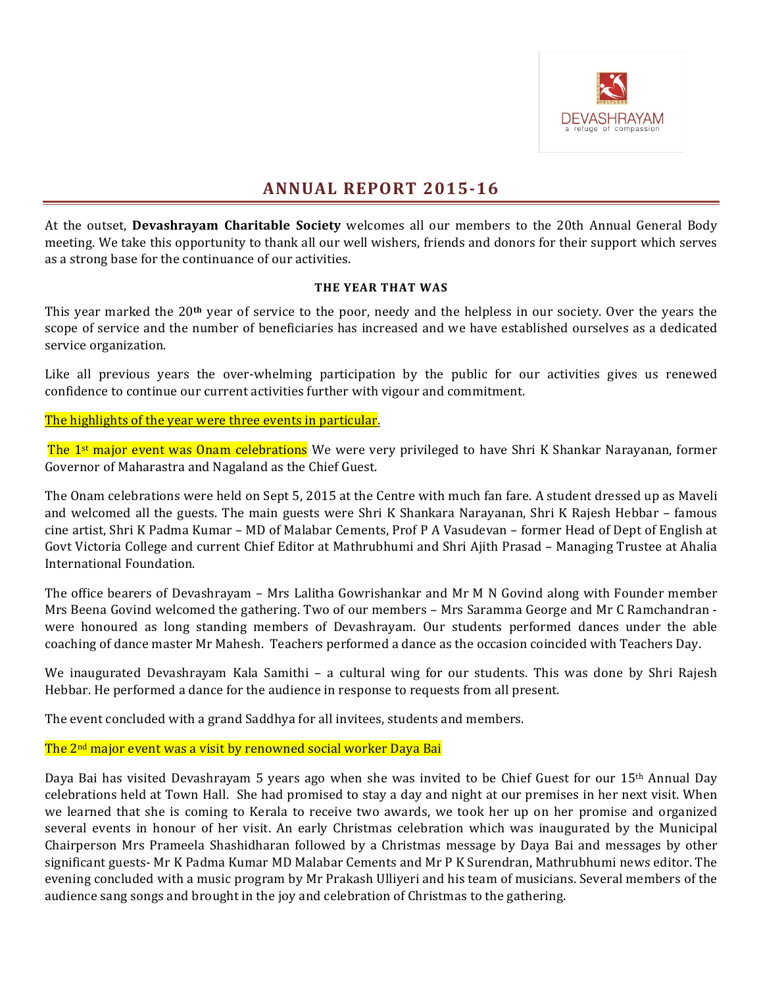

# **ANNUAL REPORT 2015-16**

At the outset, **Devashrayam Charitable Society** welcomes all our members to the 20th Annual General Body meeting. We take this opportunity to thank all our well wishers, friends and donors for their support which serves as a strong base for the continuance of our activities.

### **THE YEAR THAT WAS**

This year marked the 20<sup>th</sup> year of service to the poor, needy and the helpless in our society. Over the years the scope of service and the number of beneficiaries has increased and we have established ourselves as a dedicated service organization.

Like all previous years the over-whelming participation by the public for our activities gives us renewed confidence to continue our current activities further with vigour and commitment.

The highlights of the year were three events in particular.

The 1<sup>st</sup> major event was Onam celebrations We were very privileged to have Shri K Shankar Narayanan, former Governor of Maharastra and Nagaland as the Chief Guest.

The Onam celebrations were held on Sept 5, 2015 at the Centre with much fan fare. A student dressed up as Maveli and welcomed all the guests. The main guests were Shri K Shankara Narayanan, Shri K Rajesh Hebbar - famous cine artist, Shri K Padma Kumar – MD of Malabar Cements, Prof P A Vasudevan – former Head of Dept of English at Govt Victoria College and current Chief Editor at Mathrubhumi and Shri Ajith Prasad – Managing Trustee at Ahalia International Foundation.

The office bearers of Devashrayam – Mrs Lalitha Gowrishankar and Mr M N Govind along with Founder member Mrs Beena Govind welcomed the gathering. Two of our members - Mrs Saramma George and Mr C Ramchandran were honoured as long standing members of Devashrayam. Our students performed dances under the able coaching of dance master Mr Mahesh. Teachers performed a dance as the occasion coincided with Teachers Day.

We inaugurated Devashrayam Kala Samithi – a cultural wing for our students. This was done by Shri Rajesh Hebbar. He performed a dance for the audience in response to requests from all present.

The event concluded with a grand Saddhya for all invitees, students and members.

The 2<sup>nd</sup> major event was a visit by renowned social worker Daya Bai

Daya Bai has visited Devashrayam 5 years ago when she was invited to be Chief Guest for our  $15<sup>th</sup>$  Annual Day celebrations held at Town Hall. She had promised to stay a day and night at our premises in her next visit. When we learned that she is coming to Kerala to receive two awards, we took her up on her promise and organized several events in honour of her visit. An early Christmas celebration which was inaugurated by the Municipal Chairperson Mrs Prameela Shashidharan followed by a Christmas message by Daya Bai and messages by other significant guests- Mr K Padma Kumar MD Malabar Cements and Mr P K Surendran, Mathrubhumi news editor. The evening concluded with a music program by Mr Prakash Ulliyeri and his team of musicians. Several members of the audience sang songs and brought in the joy and celebration of Christmas to the gathering.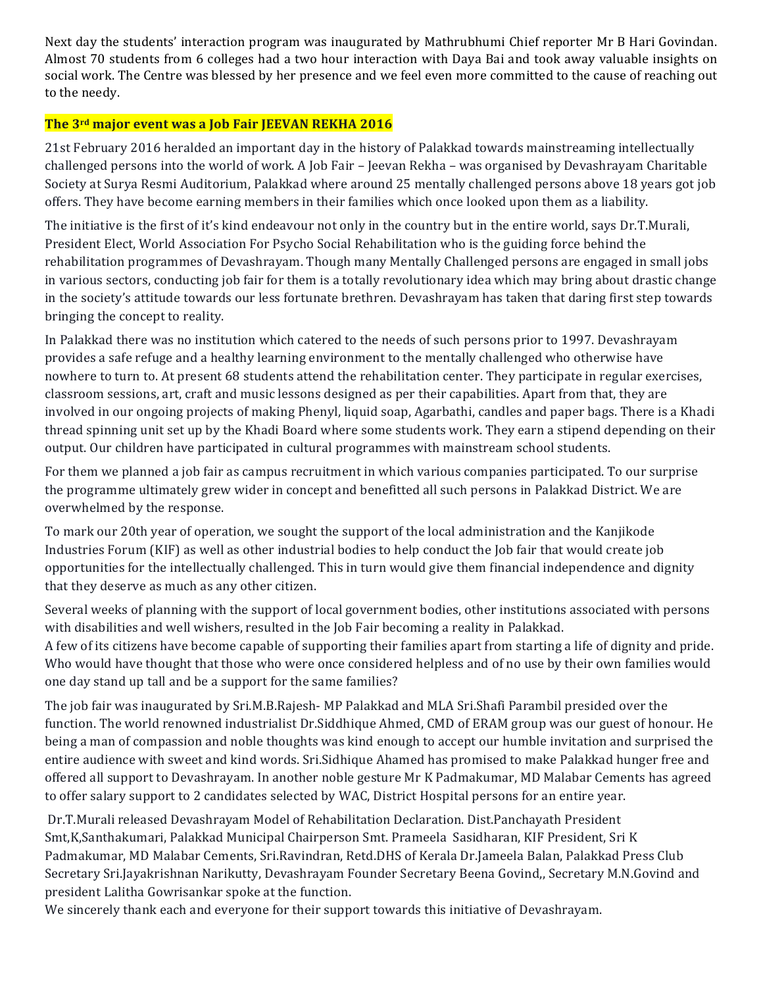Next day the students' interaction program was inaugurated by Mathrubhumi Chief reporter Mr B Hari Govindan. Almost 70 students from 6 colleges had a two hour interaction with Daya Bai and took away valuable insights on social work. The Centre was blessed by her presence and we feel even more committed to the cause of reaching out to the needy.

# **The 3<sup>rd</sup> major event was a Job Fair JEEVAN REKHA 2016**

21st February 2016 heralded an important day in the history of Palakkad towards mainstreaming intellectually challenged persons into the world of work. A Job Fair – Jeevan Rekha – was organised by Devashrayam Charitable Society at Surya Resmi Auditorium, Palakkad where around 25 mentally challenged persons above 18 years got job offers. They have become earning members in their families which once looked upon them as a liability.

The initiative is the first of it's kind endeavour not only in the country but in the entire world, says Dr.T.Murali, President Elect, World Association For Psycho Social Rehabilitation who is the guiding force behind the rehabilitation programmes of Devashrayam. Though many Mentally Challenged persons are engaged in small jobs in various sectors, conducting job fair for them is a totally revolutionary idea which may bring about drastic change in the society's attitude towards our less fortunate brethren. Devashrayam has taken that daring first step towards bringing the concept to reality.

In Palakkad there was no institution which catered to the needs of such persons prior to 1997. Devashrayam provides a safe refuge and a healthy learning environment to the mentally challenged who otherwise have nowhere to turn to. At present 68 students attend the rehabilitation center. They participate in regular exercises, classroom sessions, art, craft and music lessons designed as per their capabilities. Apart from that, they are involved in our ongoing projects of making Phenyl, liquid soap, Agarbathi, candles and paper bags. There is a Khadi thread spinning unit set up by the Khadi Board where some students work. They earn a stipend depending on their output. Our children have participated in cultural programmes with mainstream school students.

For them we planned a job fair as campus recruitment in which various companies participated. To our surprise the programme ultimately grew wider in concept and benefitted all such persons in Palakkad District. We are overwhelmed by the response.

To mark our 20th year of operation, we sought the support of the local administration and the Kanjikode Industries Forum (KIF) as well as other industrial bodies to help conduct the  $\delta$  fair that would create  $\delta$ ob opportunities for the intellectually challenged. This in turn would give them financial independence and dignity that they deserve as much as any other citizen.

Several weeks of planning with the support of local government bodies, other institutions associated with persons with disabilities and well wishers, resulted in the Job Fair becoming a reality in Palakkad.

A few of its citizens have become capable of supporting their families apart from starting a life of dignity and pride. Who would have thought that those who were once considered helpless and of no use by their own families would one day stand up tall and be a support for the same families?

The job fair was inaugurated by Sri.M.B.Rajesh- MP Palakkad and MLA Sri.Shafi Parambil presided over the function. The world renowned industrialist Dr.Siddhique Ahmed, CMD of ERAM group was our guest of honour. He being a man of compassion and noble thoughts was kind enough to accept our humble invitation and surprised the entire audience with sweet and kind words. Sri.Sidhique Ahamed has promised to make Palakkad hunger free and offered all support to Devashrayam. In another noble gesture Mr K Padmakumar, MD Malabar Cements has agreed to offer salary support to 2 candidates selected by WAC, District Hospital persons for an entire year.

Dr.T.Murali released Devashrayam Model of Rehabilitation Declaration. Dist.Panchayath President Smt, K, Santhakumari, Palakkad Municipal Chairperson Smt. Prameela Sasidharan, KIF President, Sri K Padmakumar, MD Malabar Cements, Sri.Ravindran, Retd.DHS of Kerala Dr.Jameela Balan, Palakkad Press Club Secretary Sri.Jayakrishnan Narikutty, Devashrayam Founder Secretary Beena Govind,, Secretary M.N.Govind and president Lalitha Gowrisankar spoke at the function.

We sincerely thank each and everyone for their support towards this initiative of Devashrayam.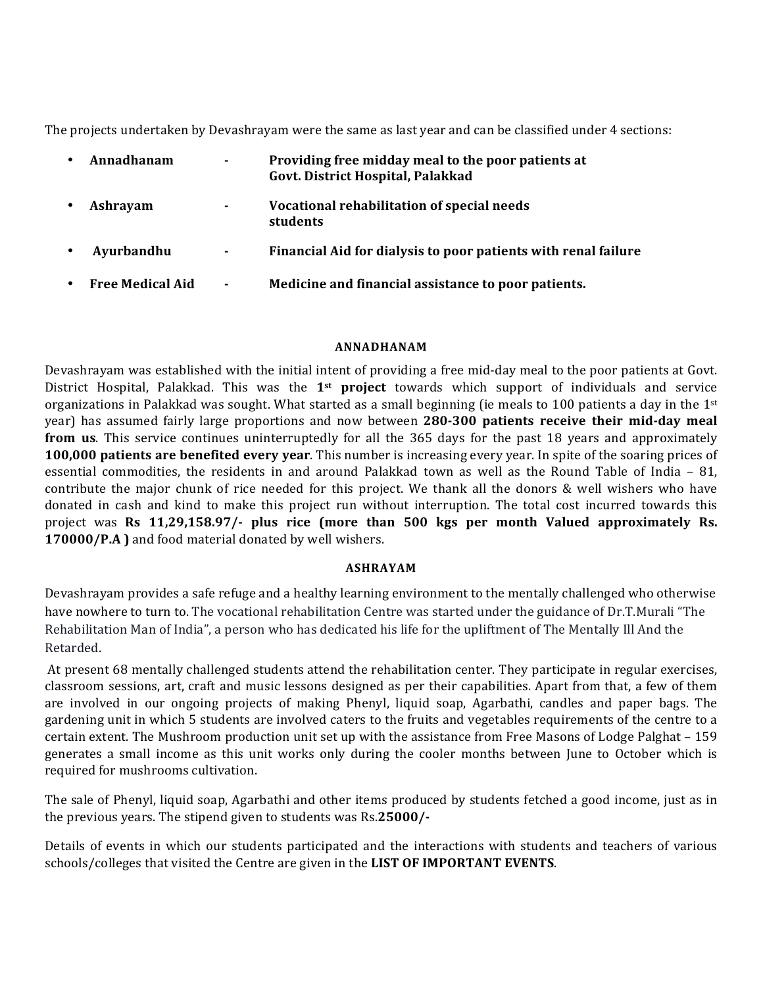The projects undertaken by Devashrayam were the same as last year and can be classified under 4 sections:

| Annadhanam              | ۰. | Providing free midday meal to the poor patients at<br>Govt. District Hospital, Palakkad |
|-------------------------|----|-----------------------------------------------------------------------------------------|
| Ashrayam                | ۰. | Vocational rehabilitation of special needs<br>students                                  |
| Ayurbandhu              | ۰  | Financial Aid for dialysis to poor patients with renal failure                          |
| <b>Free Medical Aid</b> | ۰  | Medicine and financial assistance to poor patients.                                     |

#### **ANNADHANAM**

Devashrayam was established with the initial intent of providing a free mid-day meal to the poor patients at Govt. District Hospital, Palakkad. This was the 1<sup>st</sup> project towards which support of individuals and service organizations in Palakkad was sought. What started as a small beginning (ie meals to 100 patients a day in the  $1^{st}$ year) has assumed fairly large proportions and now between 280-300 patients receive their mid-day meal **from us**. This service continues uninterruptedly for all the 365 days for the past 18 years and approximately **100,000** patients are benefited every year. This number is increasing every year. In spite of the soaring prices of essential commodities, the residents in and around Palakkad town as well as the Round Table of India  $-81$ , contribute the major chunk of rice needed for this project. We thank all the donors  $\&$  well wishers who have donated in cash and kind to make this project run without interruption. The total cost incurred towards this project was **Rs** 11,29,158.97/- plus rice (more than 500 kgs per month Valued approximately Rs. **170000/P.A** ) and food material donated by well wishers.

#### **ASHRAYAM**

Devashrayam provides a safe refuge and a healthy learning environment to the mentally challenged who otherwise have nowhere to turn to. The vocational rehabilitation Centre was started under the guidance of Dr.T.Murali "The Rehabilitation Man of India", a person who has dedicated his life for the upliftment of The Mentally Ill And the Retarded. 

At present 68 mentally challenged students attend the rehabilitation center. They participate in regular exercises, classroom sessions, art, craft and music lessons designed as per their capabilities. Apart from that, a few of them are involved in our ongoing projects of making Phenyl, liquid soap, Agarbathi, candles and paper bags. The gardening unit in which 5 students are involved caters to the fruits and vegetables requirements of the centre to a certain extent. The Mushroom production unit set up with the assistance from Free Masons of Lodge Palghat – 159 generates a small income as this unit works only during the cooler months between June to October which is required for mushrooms cultivation.

The sale of Phenyl, liquid soap, Agarbathi and other items produced by students fetched a good income, just as in the previous years. The stipend given to students was Rs.25000/-

Details of events in which our students participated and the interactions with students and teachers of various schools/colleges that visited the Centre are given in the LIST OF IMPORTANT EVENTS.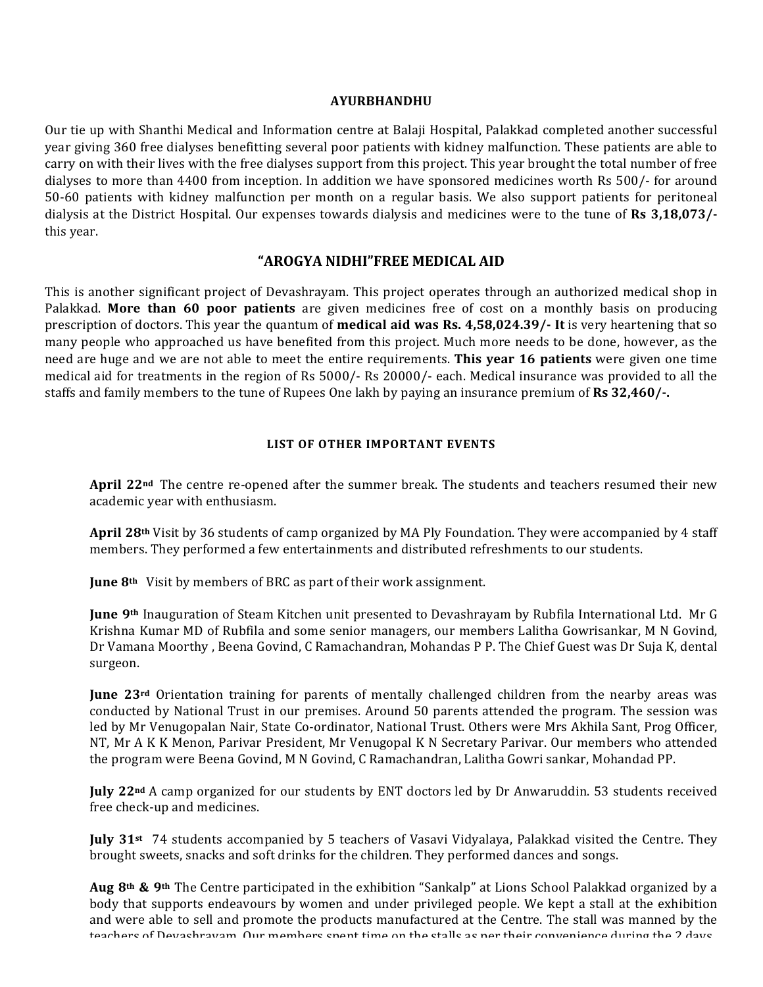#### **AYURBHANDHU**

Our tie up with Shanthi Medical and Information centre at Balaji Hospital, Palakkad completed another successful year giving 360 free dialyses benefitting several poor patients with kidney malfunction. These patients are able to carry on with their lives with the free dialyses support from this project. This year brought the total number of free dialyses to more than 4400 from inception. In addition we have sponsored medicines worth Rs 500/- for around 50-60 patients with kidney malfunction per month on a regular basis. We also support patients for peritoneal dialysis at the District Hospital. Our expenses towards dialysis and medicines were to the tune of **Rs** 3,18,073/this year.

#### **"AROGYA NIDHI"FREE MEDICAL AID**

This is another significant project of Devashrayam. This project operates through an authorized medical shop in Palakkad. More than 60 poor patients are given medicines free of cost on a monthly basis on producing prescription of doctors. This year the quantum of **medical aid was Rs. 4,58,024.39/-** It is very heartening that so many people who approached us have benefited from this project. Much more needs to be done, however, as the need are huge and we are not able to meet the entire requirements. **This year 16 patients** were given one time medical aid for treatments in the region of Rs 5000/- Rs 20000/- each. Medical insurance was provided to all the staffs and family members to the tune of Rupees One lakh by paying an insurance premium of **Rs** 32,460/-.

#### **LIST OF OTHER IMPORTANT EVENTS**

April 22<sup>nd</sup> The centre re-opened after the summer break. The students and teachers resumed their new academic year with enthusiasm.

**April 28<sup>th</sup>** Visit by 36 students of camp organized by MA Ply Foundation. They were accompanied by 4 staff members. They performed a few entertainments and distributed refreshments to our students.

**June 8<sup>th</sup>** Visit by members of BRC as part of their work assignment.

**June 9th** Inauguration of Steam Kitchen unit presented to Devashrayam by Rubfila International Ltd. Mr G Krishna Kumar MD of Rubfila and some senior managers, our members Lalitha Gowrisankar, M N Govind, Dr Vamana Moorthy, Beena Govind, C Ramachandran, Mohandas P P. The Chief Guest was Dr Suja K, dental surgeon.

**June 23<sup>rd</sup>** Orientation training for parents of mentally challenged children from the nearby areas was conducted by National Trust in our premises. Around 50 parents attended the program. The session was led by Mr Venugopalan Nair, State Co-ordinator, National Trust. Others were Mrs Akhila Sant, Prog Officer, NT, Mr A K K Menon, Parivar President, Mr Venugopal K N Secretary Parivar. Our members who attended the program were Beena Govind, M N Govind, C Ramachandran, Lalitha Gowri sankar, Mohandad PP.

**July 22<sup>nd</sup>** A camp organized for our students by ENT doctors led by Dr Anwaruddin. 53 students received free check-up and medicines.

**July 31st** 74 students accompanied by 5 teachers of Vasavi Vidyalaya, Palakkad visited the Centre. They brought sweets, snacks and soft drinks for the children. They performed dances and songs.

Aug 8<sup>th</sup> & 9<sup>th</sup> The Centre participated in the exhibition "Sankalp" at Lions School Palakkad organized by a body that supports endeavours by women and under privileged people. We kept a stall at the exhibition and were able to sell and promote the products manufactured at the Centre. The stall was manned by the teachers of Devashrayam. Our members spent time on the stalls as per their convenience during the 2 days.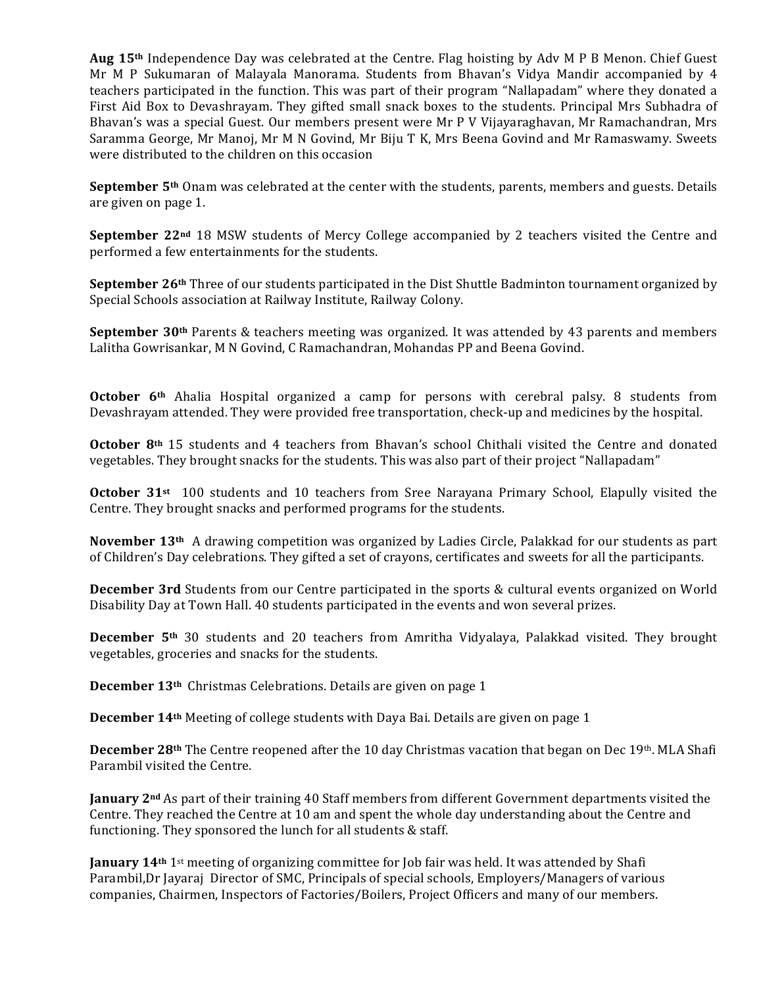**Aug 15<sup>th</sup>** Independence Day was celebrated at the Centre. Flag hoisting by Adv M P B Menon. Chief Guest Mr M P Sukumaran of Malayala Manorama. Students from Bhavan's Vidya Mandir accompanied by 4 teachers participated in the function. This was part of their program "Nallapadam" where they donated a First Aid Box to Devashrayam. They gifted small snack boxes to the students. Principal Mrs Subhadra of Bhavan's was a special Guest. Our members present were Mr P V Vijayaraghavan, Mr Ramachandran, Mrs Saramma George, Mr Manoj, Mr M N Govind, Mr Biju T K, Mrs Beena Govind and Mr Ramaswamy. Sweets were distributed to the children on this occasion

**September** 5<sup>th</sup> Onam was celebrated at the center with the students, parents, members and guests. Details are given on page 1.

**September** 22<sup>nd</sup> 18 MSW students of Mercy College accompanied by 2 teachers visited the Centre and performed a few entertainments for the students.

**September 26<sup>th</sup>** Three of our students participated in the Dist Shuttle Badminton tournament organized by Special Schools association at Railway Institute, Railway Colony.

**September 30<sup>th</sup>** Parents & teachers meeting was organized. It was attended by 43 parents and members Lalitha Gowrisankar, M N Govind, C Ramachandran, Mohandas PP and Beena Govind.

**October 6<sup>th</sup>** Ahalia Hospital organized a camp for persons with cerebral palsy. 8 students from Devashrayam attended. They were provided free transportation, check-up and medicines by the hospital.

**October 8th** 15 students and 4 teachers from Bhavan's school Chithali visited the Centre and donated vegetables. They brought snacks for the students. This was also part of their project "Nallapadam"

**October 31st** 100 students and 10 teachers from Sree Narayana Primary School, Elapully visited the Centre. They brought snacks and performed programs for the students.

November 13<sup>th</sup> A drawing competition was organized by Ladies Circle, Palakkad for our students as part of Children's Day celebrations. They gifted a set of crayons, certificates and sweets for all the participants.

**December 3rd** Students from our Centre participated in the sports & cultural events organized on World Disability Day at Town Hall. 40 students participated in the events and won several prizes.

**December 5<sup>th</sup>** 30 students and 20 teachers from Amritha Vidyalaya, Palakkad visited. They brought vegetables, groceries and snacks for the students.

**December 13<sup>th</sup>** Christmas Celebrations. Details are given on page 1

**December 14<sup>th</sup>** Meeting of college students with Daya Bai. Details are given on page 1

**December 28th** The Centre reopened after the 10 day Christmas vacation that began on Dec 19th. MLA Shafi Parambil visited the Centre.

**January**  $2^{nd}$  As part of their training 40 Staff members from different Government departments visited the Centre. They reached the Centre at 10 am and spent the whole day understanding about the Centre and functioning. They sponsored the lunch for all students  $&$  staff.

**January 14th** 1st meeting of organizing committee for Job fair was held. It was attended by Shafi Parambil,Dr Jayaraj Director of SMC, Principals of special schools, Employers/Managers of various companies, Chairmen, Inspectors of Factories/Boilers, Project Officers and many of our members.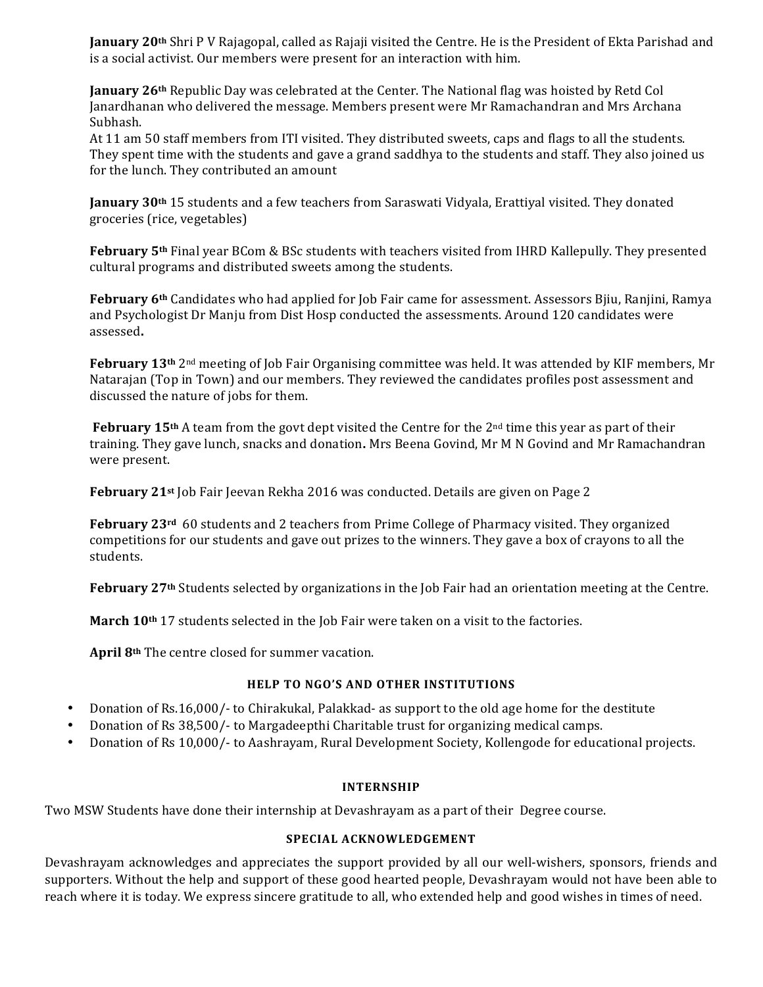**January 20th** Shri P V Rajagopal, called as Rajaji visited the Centre. He is the President of Ekta Parishad and is a social activist. Our members were present for an interaction with him.

**January 26th** Republic Day was celebrated at the Center. The National flag was hoisted by Retd Col Janardhanan who delivered the message. Members present were Mr Ramachandran and Mrs Archana Subhash. 

At 11 am 50 staff members from ITI visited. They distributed sweets, caps and flags to all the students. They spent time with the students and gave a grand saddhya to the students and staff. They also joined us for the lunch. They contributed an amount

**January** 30<sup>th</sup> 15 students and a few teachers from Saraswati Vidyala, Erattiyal visited. They donated groceries (rice, vegetables)

**February 5th** Final year BCom & BSc students with teachers visited from IHRD Kallepully. They presented cultural programs and distributed sweets among the students.

**February 6th** Candidates who had applied for Job Fair came for assessment. Assessors Bjiu, Ranjini, Ramya and Psychologist Dr Manju from Dist Hosp conducted the assessments. Around 120 candidates were assessed**.**

February 13<sup>th</sup> 2<sup>nd</sup> meeting of Job Fair Organising committee was held. It was attended by KIF members, Mr Natarajan (Top in Town) and our members. They reviewed the candidates profiles post assessment and discussed the nature of jobs for them.

**February 15th** A team from the govt dept visited the Centre for the  $2<sup>nd</sup>$  time this year as part of their training. They gave lunch, snacks and donation. Mrs Beena Govind, Mr M N Govind and Mr Ramachandran were present.

**February 21st** Job Fair Jeevan Rekha 2016 was conducted. Details are given on Page 2

**February 23<sup>rd</sup>** 60 students and 2 teachers from Prime College of Pharmacy visited. They organized competitions for our students and gave out prizes to the winners. They gave a box of crayons to all the students.

February 27<sup>th</sup> Students selected by organizations in the Job Fair had an orientation meeting at the Centre.

**March 10<sup>th</sup>** 17 students selected in the Job Fair were taken on a visit to the factories.

April 8<sup>th</sup> The centre closed for summer vacation.

#### **HELP TO NGO'S AND OTHER INSTITUTIONS**

- Donation of Rs.16,000/- to Chirakukal, Palakkad- as support to the old age home for the destitute
- Donation of Rs 38,500/- to Margadeepthi Charitable trust for organizing medical camps.
- Donation of Rs 10,000/- to Aashrayam, Rural Development Society, Kollengode for educational projects.

#### **INTERNSHIP**

Two MSW Students have done their internship at Devashrayam as a part of their Degree course.

#### SPECIAL ACKNOWLEDGEMENT

Devashrayam acknowledges and appreciates the support provided by all our well-wishers, sponsors, friends and supporters. Without the help and support of these good hearted people, Devashrayam would not have been able to reach where it is today. We express sincere gratitude to all, who extended help and good wishes in times of need.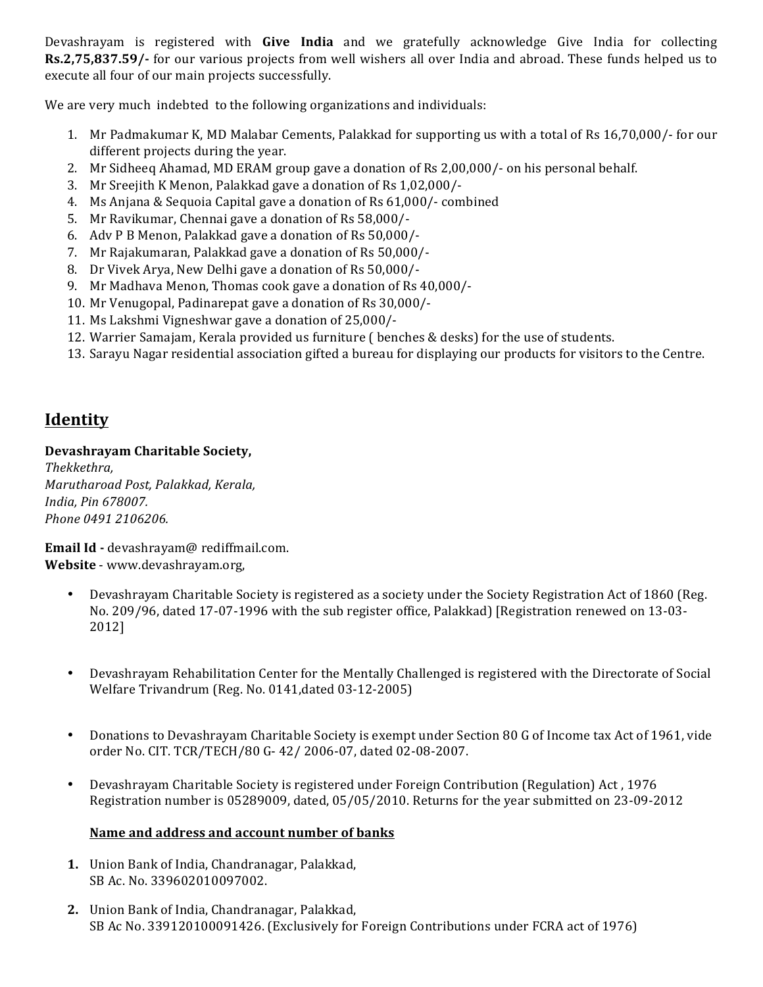Devashrayam is registered with **Give India** and we gratefully acknowledge Give India for collecting **Rs.2,75,837.59/-** for our various projects from well wishers all over India and abroad. These funds helped us to execute all four of our main projects successfully.

We are very much indebted to the following organizations and individuals:

- 1. Mr Padmakumar K, MD Malabar Cements, Palakkad for supporting us with a total of Rs 16,70,000/- for our different projects during the year.
- 2. Mr Sidheeq Ahamad, MD ERAM group gave a donation of Rs 2,00,000/- on his personal behalf.
- 3. Mr Sreejith K Menon, Palakkad gave a donation of Rs 1,02,000/-
- 4. Ms Anjana & Sequoia Capital gave a donation of Rs 61,000/- combined
- 5. Mr Ravikumar, Chennai gave a donation of Rs 58,000/-
- 6. Adv P B Menon, Palakkad gave a donation of Rs 50,000/-
- 7. Mr Rajakumaran, Palakkad gave a donation of Rs 50,000/-
- 8. Dr Vivek Arya, New Delhi gave a donation of Rs 50,000/-
- 9. Mr Madhava Menon, Thomas cook gave a donation of Rs 40,000/-
- 10. Mr Venugopal, Padinarepat gave a donation of Rs 30,000/-
- 11. Ms Lakshmi Vigneshwar gave a donation of 25,000/-
- 12. Warrier Samajam, Kerala provided us furniture ( benches & desks) for the use of students.
- 13. Sarayu Nagar residential association gifted a bureau for displaying our products for visitors to the Centre.

# **Identity**

## **Devashrayam Charitable Society,**

*Thekkethra, Marutharoad Post, Palakkad, Kerala, India, Pin 678007. Phone 0491 2106206.* 

Email Id - devashrayam@ rediffmail.com. Website - www.devashrayam.org,

- Devashrayam Charitable Society is registered as a society under the Society Registration Act of 1860 (Reg. No. 209/96, dated 17-07-1996 with the sub register office, Palakkad) [Registration renewed on 13-03-2012]
- Devashrayam Rehabilitation Center for the Mentally Challenged is registered with the Directorate of Social Welfare Trivandrum (Reg. No. 0141,dated 03-12-2005)
- Donations to Devashrayam Charitable Society is exempt under Section 80 G of Income tax Act of 1961, vide order No. CIT. TCR/TECH/80 G- 42/ 2006-07, dated 02-08-2007.
- Devashrayam Charitable Society is registered under Foreign Contribution (Regulation) Act, 1976 Registration number is 05289009, dated, 05/05/2010. Returns for the year submitted on 23-09-2012

## Name and address and account number of banks

- **1.** Union Bank of India, Chandranagar, Palakkad, SB Ac. No. 339602010097002.
- **2.** Union Bank of India, Chandranagar, Palakkad, SB Ac No. 339120100091426. (Exclusively for Foreign Contributions under FCRA act of 1976)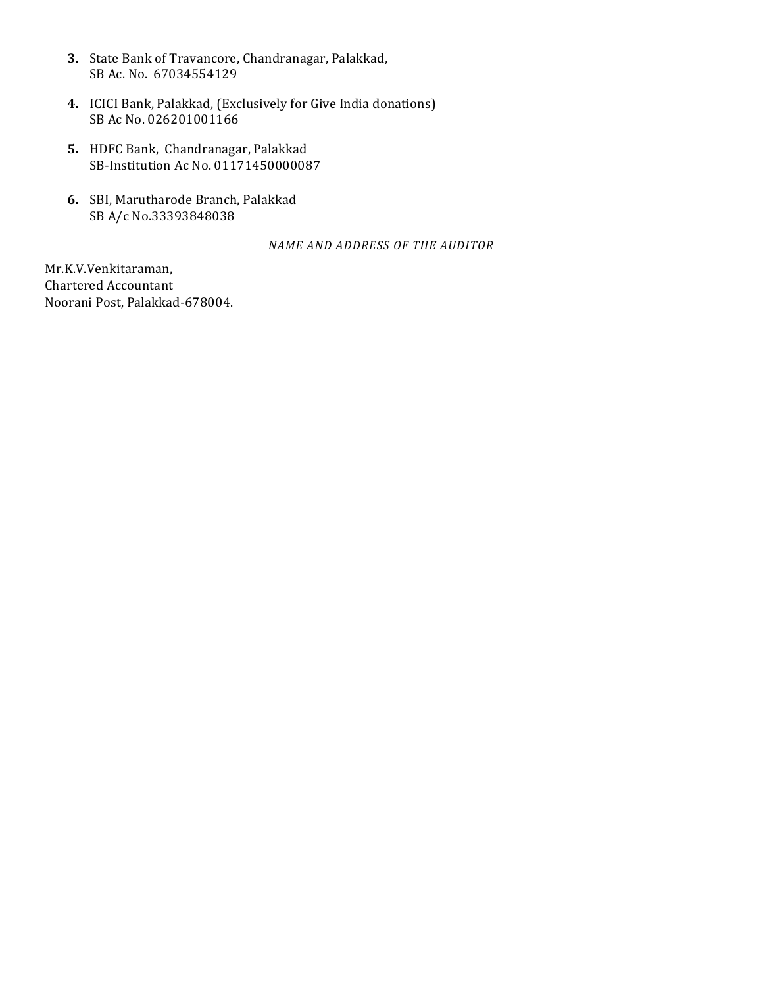- **3.** State Bank of Travancore, Chandranagar, Palakkad, SB Ac. No. 67034554129
- 4. ICICI Bank, Palakkad, (Exclusively for Give India donations) SB Ac No. 026201001166
- **5.** HDFC Bank, Chandranagar, Palakkad SB-Institution Ac No. 01171450000087
- **6.** SBI, Marutharode Branch, Palakkad SB A/c No.33393848038

*NAME AND ADDRESS OF THE AUDITOR*

Mr.K.V.Venkitaraman, Chartered Accountant Noorani Post, Palakkad-678004.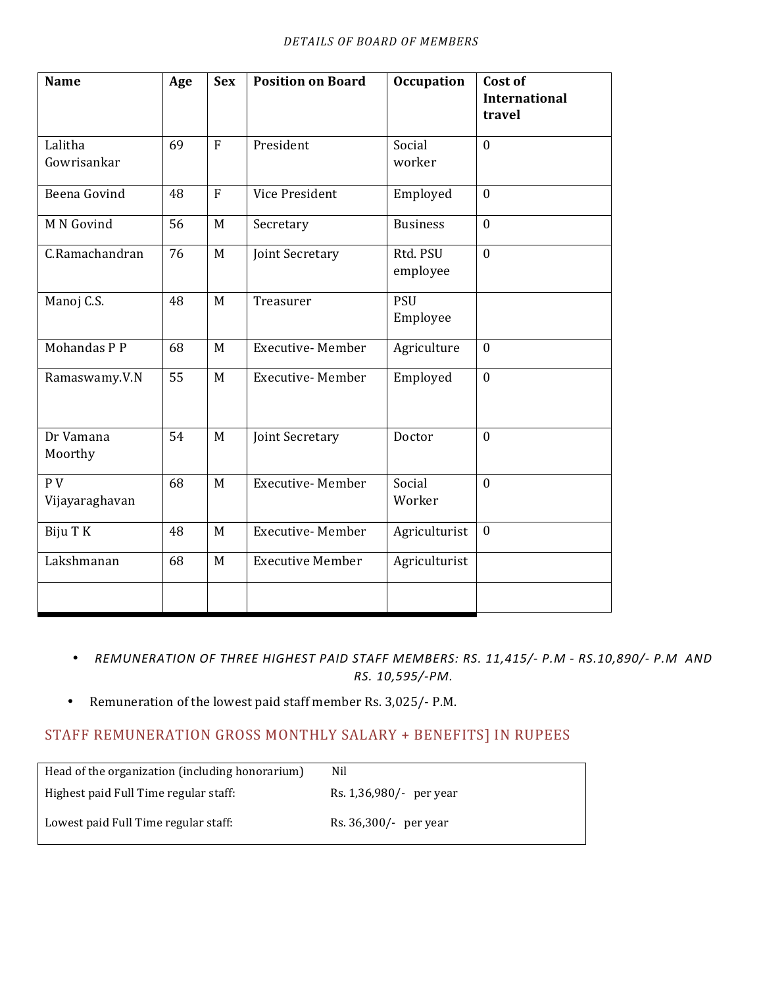| <b>Name</b>                      | Age | <b>Sex</b>     | <b>Position on Board</b> | <b>Occupation</b>      | Cost of<br>International<br>travel |
|----------------------------------|-----|----------------|--------------------------|------------------------|------------------------------------|
| Lalitha<br>Gowrisankar           | 69  | $\overline{F}$ | President                | Social<br>worker       | $\mathbf{0}$                       |
| Beena Govind                     | 48  | $\overline{F}$ | Vice President           | Employed               | $\theta$                           |
| M N Govind                       | 56  | M              | Secretary                | <b>Business</b>        | $\mathbf{0}$                       |
| C.Ramachandran                   | 76  | M              | Joint Secretary          | Rtd. PSU<br>employee   | $\mathbf{0}$                       |
| Manoj C.S.                       | 48  | M              | Treasurer                | <b>PSU</b><br>Employee |                                    |
| Mohandas P P                     | 68  | M              | <b>Executive- Member</b> | Agriculture            | $\mathbf{0}$                       |
| Ramaswamy.V.N                    | 55  | M              | <b>Executive-Member</b>  | Employed               | $\mathbf{0}$                       |
| Dr Vamana<br>Moorthy             | 54  | M              | Joint Secretary          | Doctor                 | $\mathbf{0}$                       |
| P <sub>V</sub><br>Vijayaraghavan | 68  | M              | <b>Executive-Member</b>  | Social<br>Worker       | $\theta$                           |
| Biju T K                         | 48  | M              | Executive-Member         | Agriculturist          | $\mathbf{0}$                       |
| Lakshmanan                       | 68  | M              | <b>Executive Member</b>  | Agriculturist          |                                    |
|                                  |     |                |                          |                        |                                    |

- *REMUNERATION OF THREE HIGHEST PAID STAFF MEMBERS: RS. 11,415/- P.M - RS.10,890/- P.M AND RS. 10,595/-PM.*
- Remuneration of the lowest paid staff member Rs. 3,025/- P.M.

# STAFF REMUNERATION GROSS MONTHLY SALARY + BENEFITS] IN RUPEES

| Head of the organization (including honorarium) | Nil                      |
|-------------------------------------------------|--------------------------|
| Highest paid Full Time regular staff:           | Rs. 1,36,980/- per year  |
| Lowest paid Full Time regular staff:            | Rs. $36,300/$ - per year |